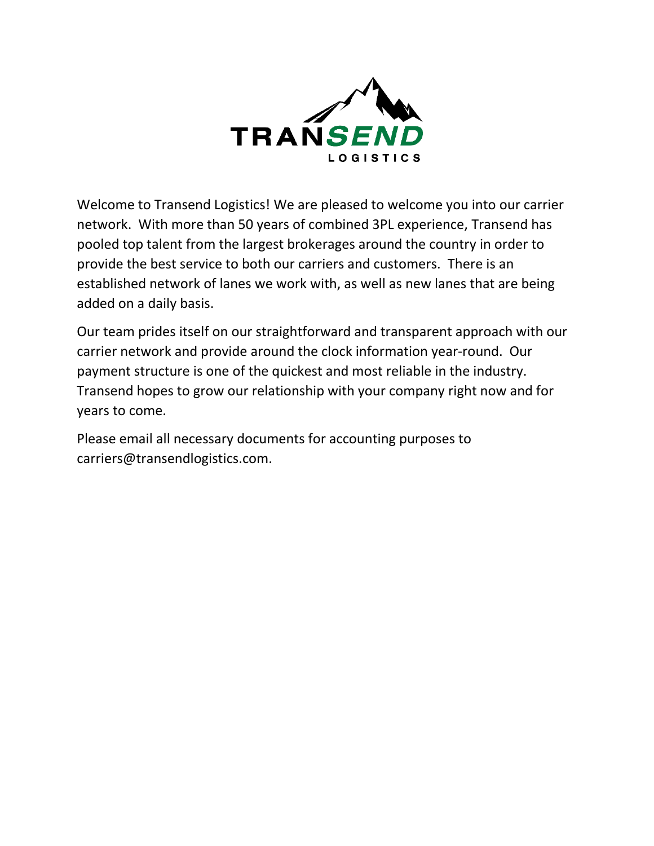

Welcome to Transend Logistics! We are pleased to welcome you into our carrier network. With more than 50 years of combined 3PL experience, Transend has pooled top talent from the largest brokerages around the country in order to provide the best service to both our carriers and customers. There is an established network of lanes we work with, as well as new lanes that are being added on a daily basis.

Our team prides itself on our straightforward and transparent approach with our carrier network and provide around the clock information year-round. Our payment structure is one of the quickest and most reliable in the industry. Transend hopes to grow our relationship with your company right now and for years to come.

Please email all necessary documents for accounting purposes to [carriers@transendlogistics.com.](mailto:carriers@transendlogistics.com)